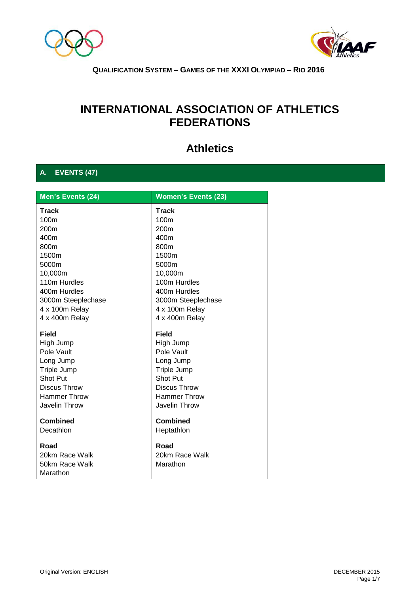



# **INTERNATIONAL ASSOCIATION OF ATHLETICS FEDERATIONS**

# **Athletics**

# **A. EVENTS (47)**

| Men's Events (24)   | <b>Women's Events (23)</b> |  |
|---------------------|----------------------------|--|
| <b>Track</b>        | <b>Track</b>               |  |
| 100m                | 100m                       |  |
| 200m                | 200m                       |  |
| 400m                | 400m                       |  |
| 800m                | 800m                       |  |
| 1500m               | 1500m                      |  |
| 5000m               | 5000m                      |  |
| 10,000m             | 10,000m                    |  |
| 110m Hurdles        | 100m Hurdles               |  |
| 400m Hurdles        | 400m Hurdles               |  |
| 3000m Steeplechase  | 3000m Steeplechase         |  |
| 4 x 100m Relay      | 4 x 100m Relay             |  |
| 4 x 400m Relay      | 4 x 400m Relay             |  |
| <b>Field</b>        | <b>Field</b>               |  |
| High Jump           | High Jump                  |  |
| Pole Vault          | Pole Vault                 |  |
| Long Jump           | Long Jump                  |  |
| Triple Jump         | Triple Jump                |  |
| Shot Put            | <b>Shot Put</b>            |  |
| <b>Discus Throw</b> | <b>Discus Throw</b>        |  |
| <b>Hammer Throw</b> | <b>Hammer Throw</b>        |  |
| Javelin Throw       | Javelin Throw              |  |
| <b>Combined</b>     | <b>Combined</b>            |  |
| Decathlon           | Heptathlon                 |  |
| Road                | Road                       |  |
| 20km Race Walk      | 20km Race Walk             |  |
| 50km Race Walk      | Marathon                   |  |
| Marathon            |                            |  |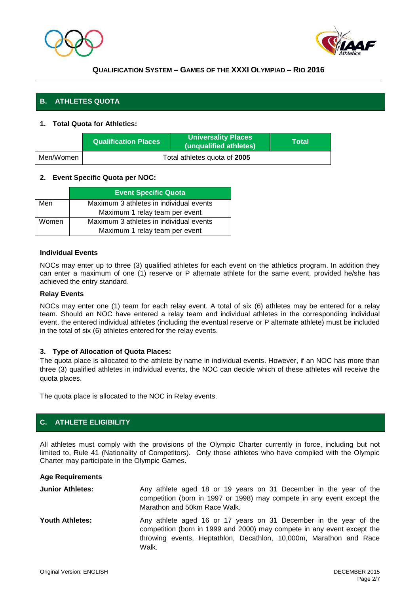



# **B. ATHLETES QUOTA**

### **1. Total Quota for Athletics:**

|           | <b>Qualification Places</b>  | <b>Universality Places</b><br>(unqualified athletes) | <b>\Total\</b> |
|-----------|------------------------------|------------------------------------------------------|----------------|
| Men/Women | Total athletes quota of 2005 |                                                      |                |

#### **2. Event Specific Quota per NOC:**

|       | <b>Event Specific Quota</b>             |  |  |
|-------|-----------------------------------------|--|--|
| Men   | Maximum 3 athletes in individual events |  |  |
|       | Maximum 1 relay team per event          |  |  |
| Women | Maximum 3 athletes in individual events |  |  |
|       | Maximum 1 relay team per event          |  |  |

#### **Individual Events**

NOCs may enter up to three (3) qualified athletes for each event on the athletics program. In addition they can enter a maximum of one (1) reserve or P alternate athlete for the same event, provided he/she has achieved the entry standard.

#### **Relay Events**

NOCs may enter one (1) team for each relay event. A total of six (6) athletes may be entered for a relay team. Should an NOC have entered a relay team and individual athletes in the corresponding individual event, the entered individual athletes (including the eventual reserve or P alternate athlete) must be included in the total of six (6) athletes entered for the relay events.

#### **3. Type of Allocation of Quota Places:**

The quota place is allocated to the athlete by name in individual events. However, if an NOC has more than three (3) qualified athletes in individual events, the NOC can decide which of these athletes will receive the quota places.

The quota place is allocated to the NOC in Relay events.

# **C. ATHLETE ELIGIBILITY**

All athletes must comply with the provisions of the Olympic Charter currently in force, including but not limited to, Rule 41 (Nationality of Competitors). Only those athletes who have complied with the Olympic Charter may participate in the Olympic Games.

#### **Age Requirements**

| <b>Junior Athletes:</b> | Any athlete aged 18 or 19 years on 31 December in the year of the<br>competition (born in 1997 or 1998) may compete in any event except the<br>Marathon and 50km Race Walk.                                                 |
|-------------------------|-----------------------------------------------------------------------------------------------------------------------------------------------------------------------------------------------------------------------------|
| <b>Youth Athletes:</b>  | Any athlete aged 16 or 17 years on 31 December in the year of the<br>competition (born in 1999 and 2000) may compete in any event except the<br>throwing events, Heptathlon, Decathlon, 10,000m, Marathon and Race<br>Walk. |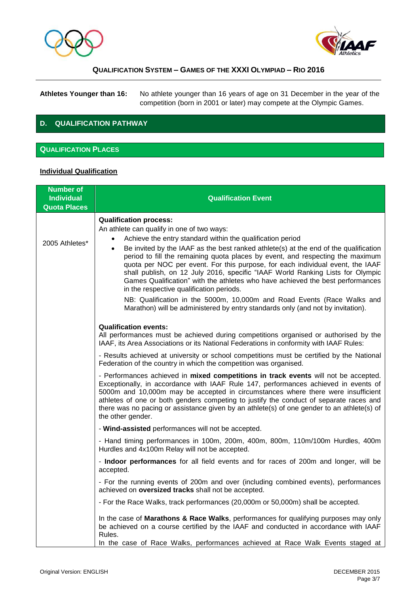



**Athletes Younger than 16:** No athlete younger than 16 years of age on 31 December in the year of the competition (born in 2001 or later) may compete at the Olympic Games.

# **D. QUALIFICATION PATHWAY**

## **QUALIFICATION PLACES**

#### **Individual Qualification**

| <b>Number of</b><br><b>Individual</b><br><b>Quota Places</b> | <b>Qualification Event</b>                                                                                                                                                                                                                                                                                                                                                                                                                                                                                                                                                                                                                                                                                                                                                                                    |
|--------------------------------------------------------------|---------------------------------------------------------------------------------------------------------------------------------------------------------------------------------------------------------------------------------------------------------------------------------------------------------------------------------------------------------------------------------------------------------------------------------------------------------------------------------------------------------------------------------------------------------------------------------------------------------------------------------------------------------------------------------------------------------------------------------------------------------------------------------------------------------------|
| 2005 Athletes*                                               | <b>Qualification process:</b><br>An athlete can qualify in one of two ways:<br>Achieve the entry standard within the qualification period<br>$\bullet$<br>Be invited by the IAAF as the best ranked athlete(s) at the end of the qualification<br>$\bullet$<br>period to fill the remaining quota places by event, and respecting the maximum<br>quota per NOC per event. For this purpose, for each individual event, the IAAF<br>shall publish, on 12 July 2016, specific "IAAF World Ranking Lists for Olympic<br>Games Qualification" with the athletes who have achieved the best performances<br>in the respective qualification periods.<br>NB: Qualification in the 5000m, 10,000m and Road Events (Race Walks and<br>Marathon) will be administered by entry standards only (and not by invitation). |
|                                                              | <b>Qualification events:</b><br>All performances must be achieved during competitions organised or authorised by the<br>IAAF, its Area Associations or its National Federations in conformity with IAAF Rules:                                                                                                                                                                                                                                                                                                                                                                                                                                                                                                                                                                                                |
|                                                              | - Results achieved at university or school competitions must be certified by the National<br>Federation of the country in which the competition was organised.                                                                                                                                                                                                                                                                                                                                                                                                                                                                                                                                                                                                                                                |
|                                                              | - Performances achieved in mixed competitions in track events will not be accepted.<br>Exceptionally, in accordance with IAAF Rule 147, performances achieved in events of<br>5000m and 10,000m may be accepted in circumstances where there were insufficient<br>athletes of one or both genders competing to justify the conduct of separate races and<br>there was no pacing or assistance given by an athlete(s) of one gender to an athlete(s) of<br>the other gender.                                                                                                                                                                                                                                                                                                                                   |
|                                                              | - Wind-assisted performances will not be accepted.                                                                                                                                                                                                                                                                                                                                                                                                                                                                                                                                                                                                                                                                                                                                                            |
|                                                              | - Hand timing performances in 100m, 200m, 400m, 800m, 110m/100m Hurdles, 400m<br>Hurdles and 4x100m Relay will not be accepted.                                                                                                                                                                                                                                                                                                                                                                                                                                                                                                                                                                                                                                                                               |
|                                                              | - Indoor performances for all field events and for races of 200m and longer, will be<br>accepted.                                                                                                                                                                                                                                                                                                                                                                                                                                                                                                                                                                                                                                                                                                             |
|                                                              | - For the running events of 200m and over (including combined events), performances<br>achieved on oversized tracks shall not be accepted.                                                                                                                                                                                                                                                                                                                                                                                                                                                                                                                                                                                                                                                                    |
|                                                              | - For the Race Walks, track performances (20,000m or 50,000m) shall be accepted.                                                                                                                                                                                                                                                                                                                                                                                                                                                                                                                                                                                                                                                                                                                              |
|                                                              | In the case of Marathons & Race Walks, performances for qualifying purposes may only<br>be achieved on a course certified by the IAAF and conducted in accordance with IAAF<br>Rules.<br>In the case of Race Walks, performances achieved at Race Walk Events staged at                                                                                                                                                                                                                                                                                                                                                                                                                                                                                                                                       |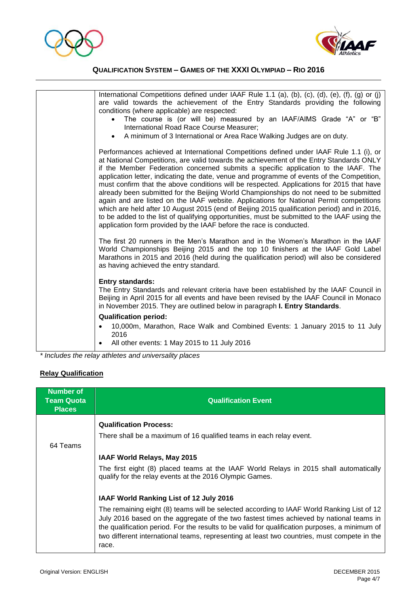



| International Competitions defined under IAAF Rule 1.1 (a), (b), (c), (d), (e), (f), (g) or (j)<br>are valid towards the achievement of the Entry Standards providing the following<br>conditions (where applicable) are respected:<br>The course is (or will be) measured by an IAAF/AIMS Grade "A" or "B"<br>$\bullet$<br>International Road Race Course Measurer;<br>A minimum of 3 International or Area Race Walking Judges are on duty.<br>$\bullet$                                                                                                                                                                                                                                                                                                                                                                                                                                                                     |
|--------------------------------------------------------------------------------------------------------------------------------------------------------------------------------------------------------------------------------------------------------------------------------------------------------------------------------------------------------------------------------------------------------------------------------------------------------------------------------------------------------------------------------------------------------------------------------------------------------------------------------------------------------------------------------------------------------------------------------------------------------------------------------------------------------------------------------------------------------------------------------------------------------------------------------|
| Performances achieved at International Competitions defined under IAAF Rule 1.1 (i), or<br>at National Competitions, are valid towards the achievement of the Entry Standards ONLY<br>if the Member Federation concerned submits a specific application to the IAAF. The<br>application letter, indicating the date, venue and programme of events of the Competition,<br>must confirm that the above conditions will be respected. Applications for 2015 that have<br>already been submitted for the Beijing World Championships do not need to be submitted<br>again and are listed on the IAAF website. Applications for National Permit competitions<br>which are held after 10 August 2015 (end of Beijing 2015 qualification period) and in 2016,<br>to be added to the list of qualifying opportunities, must be submitted to the IAAF using the<br>application form provided by the IAAF before the race is conducted. |
| The first 20 runners in the Men's Marathon and in the Women's Marathon in the IAAF<br>World Championships Beijing 2015 and the top 10 finishers at the IAAF Gold Label<br>Marathons in 2015 and 2016 (held during the qualification period) will also be considered<br>as having achieved the entry standard.                                                                                                                                                                                                                                                                                                                                                                                                                                                                                                                                                                                                                  |
| <b>Entry standards:</b><br>The Entry Standards and relevant criteria have been established by the IAAF Council in<br>Beijing in April 2015 for all events and have been revised by the IAAF Council in Monaco<br>in November 2015. They are outlined below in paragraph I. Entry Standards.                                                                                                                                                                                                                                                                                                                                                                                                                                                                                                                                                                                                                                    |
| <b>Qualification period:</b><br>10,000m, Marathon, Race Walk and Combined Events: 1 January 2015 to 11 July<br>2016<br>All other events: 1 May 2015 to 11 July 2016                                                                                                                                                                                                                                                                                                                                                                                                                                                                                                                                                                                                                                                                                                                                                            |
|                                                                                                                                                                                                                                                                                                                                                                                                                                                                                                                                                                                                                                                                                                                                                                                                                                                                                                                                |

*\* Includes the relay athletes and universality places* 

#### **Relay Qualification**

| <b>Number of</b><br><b>Team Quota</b><br><b>Places</b> | <b>Qualification Event</b>                                                                                                                                                                                                                                                                                                                                                                     |  |  |
|--------------------------------------------------------|------------------------------------------------------------------------------------------------------------------------------------------------------------------------------------------------------------------------------------------------------------------------------------------------------------------------------------------------------------------------------------------------|--|--|
|                                                        | <b>Qualification Process:</b>                                                                                                                                                                                                                                                                                                                                                                  |  |  |
|                                                        | There shall be a maximum of 16 qualified teams in each relay event.                                                                                                                                                                                                                                                                                                                            |  |  |
| 64 Teams                                               |                                                                                                                                                                                                                                                                                                                                                                                                |  |  |
|                                                        | IAAF World Relays, May 2015                                                                                                                                                                                                                                                                                                                                                                    |  |  |
|                                                        | The first eight (8) placed teams at the IAAF World Relays in 2015 shall automatically<br>qualify for the relay events at the 2016 Olympic Games.                                                                                                                                                                                                                                               |  |  |
|                                                        | IAAF World Ranking List of 12 July 2016                                                                                                                                                                                                                                                                                                                                                        |  |  |
|                                                        | The remaining eight (8) teams will be selected according to IAAF World Ranking List of 12<br>July 2016 based on the aggregate of the two fastest times achieved by national teams in<br>the qualification period. For the results to be valid for qualification purposes, a minimum of<br>two different international teams, representing at least two countries, must compete in the<br>race. |  |  |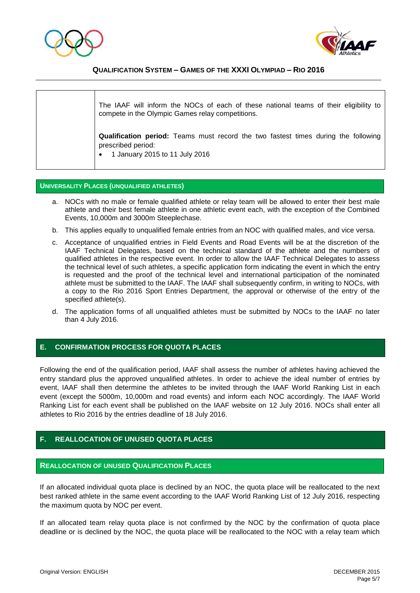



The IAAF will inform the NOCs of each of these national teams of their eligibility to compete in the Olympic Games relay competitions. **Qualification period:** Teams must record the two fastest times during the following prescribed period: 1 January 2015 to 11 July 2016

#### **UNIVERSALITY PLACES (UNQUALIFIED ATHLETES)**

- a. NOCs with no male or female qualified athlete or relay team will be allowed to enter their best male athlete and their best female athlete in one athletic event each, with the exception of the Combined Events, 10,000m and 3000m Steeplechase.
- b. This applies equally to unqualified female entries from an NOC with qualified males, and vice versa.
- c. Acceptance of unqualified entries in Field Events and Road Events will be at the discretion of the IAAF Technical Delegates, based on the technical standard of the athlete and the numbers of qualified athletes in the respective event. In order to allow the IAAF Technical Delegates to assess the technical level of such athletes, a specific application form indicating the event in which the entry is requested and the proof of the technical level and international participation of the nominated athlete must be submitted to the IAAF. The IAAF shall subsequently confirm, in writing to NOCs, with a copy to the Rio 2016 Sport Entries Department, the approval or otherwise of the entry of the specified athlete(s).
- d. The application forms of all unqualified athletes must be submitted by NOCs to the IAAF no later than 4 July 2016.

# **E. CONFIRMATION PROCESS FOR QUOTA PLACES**

Following the end of the qualification period, IAAF shall assess the number of athletes having achieved the entry standard plus the approved unqualified athletes. In order to achieve the ideal number of entries by event, IAAF shall then determine the athletes to be invited through the IAAF World Ranking List in each event (except the 5000m, 10,000m and road events) and inform each NOC accordingly. The IAAF World Ranking List for each event shall be published on the IAAF website on 12 July 2016. NOCs shall enter all athletes to Rio 2016 by the entries deadline of 18 July 2016.

# **F. REALLOCATION OF UNUSED QUOTA PLACES**

#### **REALLOCATION OF UNUSED QUALIFICATION PLACES**

If an allocated individual quota place is declined by an NOC, the quota place will be reallocated to the next best ranked athlete in the same event according to the IAAF World Ranking List of 12 July 2016, respecting the maximum quota by NOC per event.

If an allocated team relay quota place is not confirmed by the NOC by the confirmation of quota place deadline or is declined by the NOC, the quota place will be reallocated to the NOC with a relay team which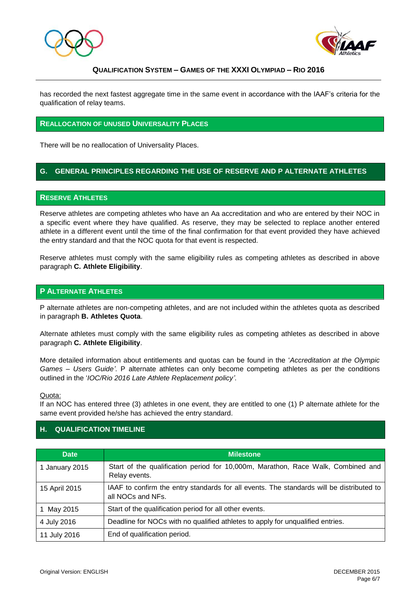



has recorded the next fastest aggregate time in the same event in accordance with the IAAF's criteria for the qualification of relay teams.

#### **REALLOCATION OF UNUSED UNIVERSALITY PLACES**

There will be no reallocation of Universality Places.

# **G. GENERAL PRINCIPLES REGARDING THE USE OF RESERVE AND P ALTERNATE ATHLETES**

#### **RESERVE ATHLETES**

Reserve athletes are competing athletes who have an Aa accreditation and who are entered by their NOC in a specific event where they have qualified. As reserve, they may be selected to replace another entered athlete in a different event until the time of the final confirmation for that event provided they have achieved the entry standard and that the NOC quota for that event is respected.

Reserve athletes must comply with the same eligibility rules as competing athletes as described in above paragraph **C. Athlete Eligibility**.

#### **P ALTERNATE ATHLETES**

P alternate athletes are non-competing athletes, and are not included within the athletes quota as described in paragraph **B. Athletes Quota**.

Alternate athletes must comply with the same eligibility rules as competing athletes as described in above paragraph **C. Athlete Eligibility**.

More detailed information about entitlements and quotas can be found in the '*Accreditation at the Olympic Games – Users Guide'*. P alternate athletes can only become competing athletes as per the conditions outlined in the '*IOC/Rio 2016 Late Athlete Replacement policy'*.

Quota:

If an NOC has entered three (3) athletes in one event, they are entitled to one (1) P alternate athlete for the same event provided he/she has achieved the entry standard.

# **H. QUALIFICATION TIMELINE**

| <b>Date</b>    | <b>Milestone</b>                                                                                              |  |
|----------------|---------------------------------------------------------------------------------------------------------------|--|
| 1 January 2015 | Start of the qualification period for 10,000m, Marathon, Race Walk, Combined and<br>Relay events.             |  |
| 15 April 2015  | IAAF to confirm the entry standards for all events. The standards will be distributed to<br>all NOCs and NFs. |  |
| 1 May 2015     | Start of the qualification period for all other events.                                                       |  |
| 4 July 2016    | Deadline for NOCs with no qualified athletes to apply for unqualified entries.                                |  |
| 11 July 2016   | End of qualification period.                                                                                  |  |